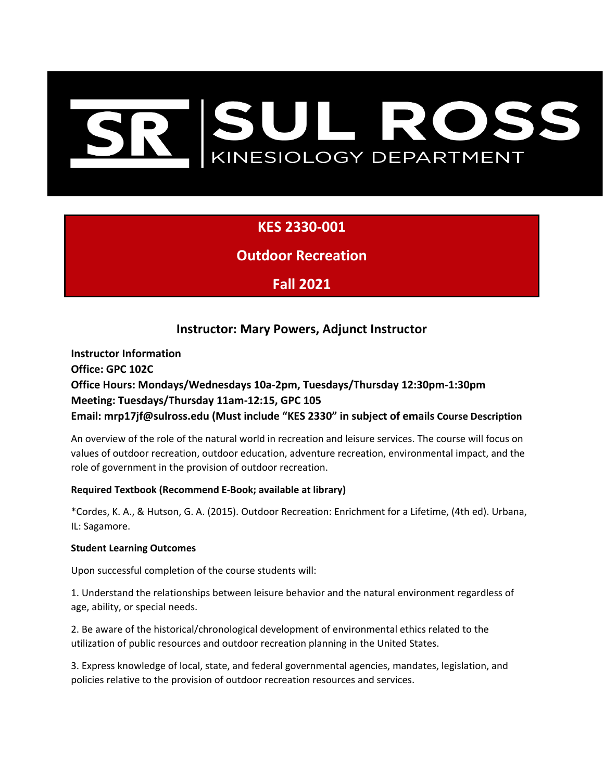# SUL ROSS<br>KINESIOLOGY DEPARTMENT

# **KES 2330-001**

**Outdoor Recreation**

# **Fall 2021**

# **Instructor: Mary Powers, Adjunct Instructor**

**Instructor Information Office: GPC 102C Office Hours: Mondays/Wednesdays 10a-2pm, Tuesdays/Thursday 12:30pm-1:30pm Meeting: Tuesdays/Thursday 11am-12:15, GPC 105 Email: mrp17jf@sulross.edu (Must include "KES 2330" in subject of emails Course Description** 

An overview of the role of the natural world in recreation and leisure services. The course will focus on values of outdoor recreation, outdoor education, adventure recreation, environmental impact, and the role of government in the provision of outdoor recreation.

# **Required Textbook (Recommend E-Book; available at library)**

\*Cordes, K. A., & Hutson, G. A. (2015). Outdoor Recreation: Enrichment for a Lifetime, (4th ed). Urbana, IL: Sagamore.

### **Student Learning Outcomes**

Upon successful completion of the course students will:

1. Understand the relationships between leisure behavior and the natural environment regardless of age, ability, or special needs.

2. Be aware of the historical/chronological development of environmental ethics related to the utilization of public resources and outdoor recreation planning in the United States.

3. Express knowledge of local, state, and federal governmental agencies, mandates, legislation, and policies relative to the provision of outdoor recreation resources and services.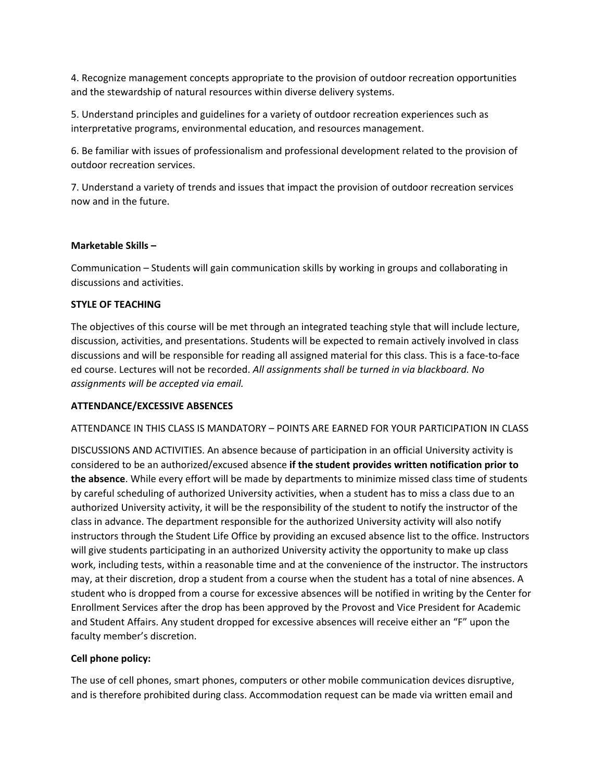4. Recognize management concepts appropriate to the provision of outdoor recreation opportunities and the stewardship of natural resources within diverse delivery systems.

5. Understand principles and guidelines for a variety of outdoor recreation experiences such as interpretative programs, environmental education, and resources management.

6. Be familiar with issues of professionalism and professional development related to the provision of outdoor recreation services.

7. Understand a variety of trends and issues that impact the provision of outdoor recreation services now and in the future.

### **Marketable Skills –**

Communication – Students will gain communication skills by working in groups and collaborating in discussions and activities.

### **STYLE OF TEACHING**

The objectives of this course will be met through an integrated teaching style that will include lecture, discussion, activities, and presentations. Students will be expected to remain actively involved in class discussions and will be responsible for reading all assigned material for this class. This is a face-to-face ed course. Lectures will not be recorded. *All assignments shall be turned in via blackboard. No assignments will be accepted via email.* 

### **ATTENDANCE/EXCESSIVE ABSENCES**

ATTENDANCE IN THIS CLASS IS MANDATORY – POINTS ARE EARNED FOR YOUR PARTICIPATION IN CLASS

DISCUSSIONS AND ACTIVITIES. An absence because of participation in an official University activity is considered to be an authorized/excused absence **if the student provides written notification prior to the absence**. While every effort will be made by departments to minimize missed class time of students by careful scheduling of authorized University activities, when a student has to miss a class due to an authorized University activity, it will be the responsibility of the student to notify the instructor of the class in advance. The department responsible for the authorized University activity will also notify instructors through the Student Life Office by providing an excused absence list to the office. Instructors will give students participating in an authorized University activity the opportunity to make up class work, including tests, within a reasonable time and at the convenience of the instructor. The instructors may, at their discretion, drop a student from a course when the student has a total of nine absences. A student who is dropped from a course for excessive absences will be notified in writing by the Center for Enrollment Services after the drop has been approved by the Provost and Vice President for Academic and Student Affairs. Any student dropped for excessive absences will receive either an "F" upon the faculty member's discretion.

### **Cell phone policy:**

The use of cell phones, smart phones, computers or other mobile communication devices disruptive, and is therefore prohibited during class. Accommodation request can be made via written email and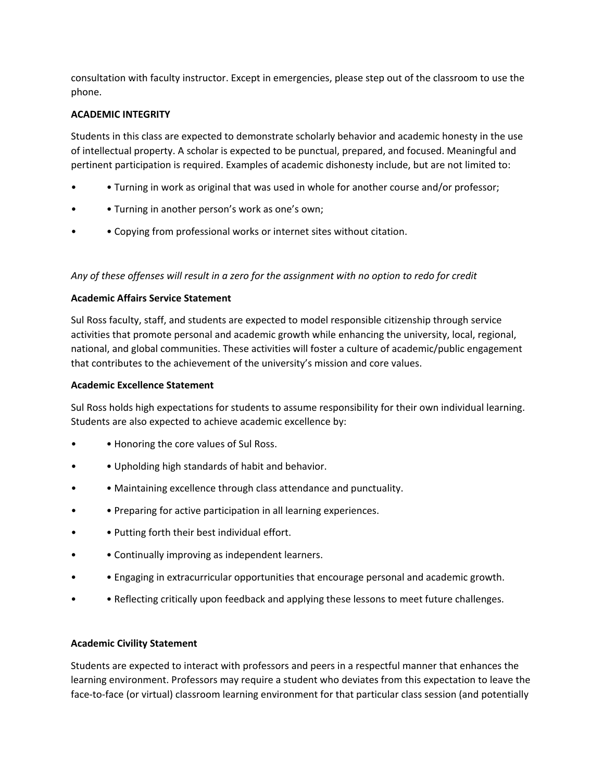consultation with faculty instructor. Except in emergencies, please step out of the classroom to use the phone.

# **ACADEMIC INTEGRITY**

Students in this class are expected to demonstrate scholarly behavior and academic honesty in the use of intellectual property. A scholar is expected to be punctual, prepared, and focused. Meaningful and pertinent participation is required. Examples of academic dishonesty include, but are not limited to:

- • Turning in work as original that was used in whole for another course and/or professor;
- Turning in another person's work as one's own;
- • Copying from professional works or internet sites without citation.

## *Any of these offenses will result in a zero for the assignment with no option to redo for credit*

## **Academic Affairs Service Statement**

Sul Ross faculty, staff, and students are expected to model responsible citizenship through service activities that promote personal and academic growth while enhancing the university, local, regional, national, and global communities. These activities will foster a culture of academic/public engagement that contributes to the achievement of the university's mission and core values.

### **Academic Excellence Statement**

Sul Ross holds high expectations for students to assume responsibility for their own individual learning. Students are also expected to achieve academic excellence by:

- • Honoring the core values of Sul Ross.
- • Upholding high standards of habit and behavior.
- • Maintaining excellence through class attendance and punctuality.
- • Preparing for active participation in all learning experiences.
- • Putting forth their best individual effort.
- Continually improving as independent learners.
- • Engaging in extracurricular opportunities that encourage personal and academic growth.
- • Reflecting critically upon feedback and applying these lessons to meet future challenges.

### **Academic Civility Statement**

Students are expected to interact with professors and peers in a respectful manner that enhances the learning environment. Professors may require a student who deviates from this expectation to leave the face-to-face (or virtual) classroom learning environment for that particular class session (and potentially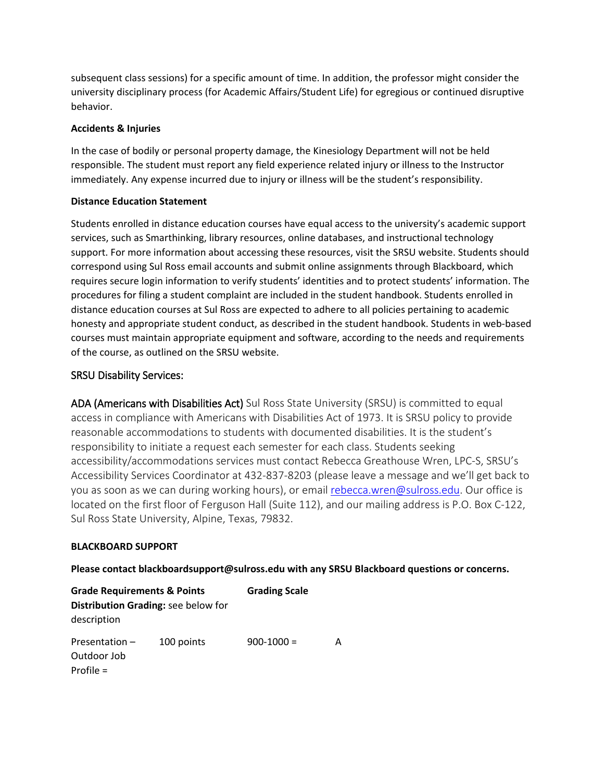subsequent class sessions) for a specific amount of time. In addition, the professor might consider the university disciplinary process (for Academic Affairs/Student Life) for egregious or continued disruptive behavior.

## **Accidents & Injuries**

In the case of bodily or personal property damage, the Kinesiology Department will not be held responsible. The student must report any field experience related injury or illness to the Instructor immediately. Any expense incurred due to injury or illness will be the student's responsibility.

# **Distance Education Statement**

Students enrolled in distance education courses have equal access to the university's academic support services, such as Smarthinking, library resources, online databases, and instructional technology support. For more information about accessing these resources, visit the SRSU website. Students should correspond using Sul Ross email accounts and submit online assignments through Blackboard, which requires secure login information to verify students' identities and to protect students' information. The procedures for filing a student complaint are included in the student handbook. Students enrolled in distance education courses at Sul Ross are expected to adhere to all policies pertaining to academic honesty and appropriate student conduct, as described in the student handbook. Students in web-based courses must maintain appropriate equipment and software, according to the needs and requirements of the course, as outlined on the SRSU website.

# SRSU Disability Services:

ADA (Americans with Disabilities Act) Sul Ross State University (SRSU) is committed to equal access in compliance with Americans with Disabilities Act of 1973. It is SRSU policy to provide reasonable accommodations to students with documented disabilities. It is the student's responsibility to initiate a request each semester for each class. Students seeking accessibility/accommodations services must contact Rebecca Greathouse Wren, LPC-S, SRSU's Accessibility Services Coordinator at 432-837-8203 (please leave a message and we'll get back to you as soon as we can during working hours), or email [rebecca.wren@sulross.edu.](mailto:rebecca.wren@sulross.edu) Our office is located on the first floor of Ferguson Hall (Suite 112), and our mailing address is P.O. Box C-122, Sul Ross State University, Alpine, Texas, 79832.

### **BLACKBOARD SUPPORT**

**Please contact blackboardsupport@sulross.edu with any SRSU Blackboard questions or concerns.** 

| <b>Grade Requirements &amp; Points</b>         |            | <b>Grading Scale</b> |   |  |
|------------------------------------------------|------------|----------------------|---|--|
| Distribution Grading: see below for            |            |                      |   |  |
| description                                    |            |                      |   |  |
| Presentation $-$<br>Outdoor Job<br>Profile $=$ | 100 points | $900 - 1000 =$       | А |  |